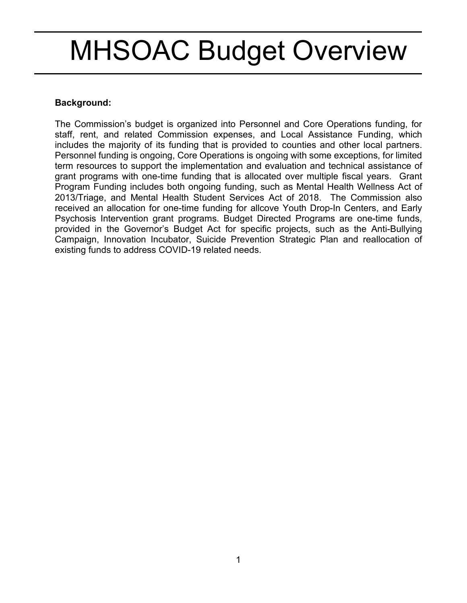# MHSOAC Budget Overview

#### **Background:**

The Commission's budget is organized into Personnel and Core Operations funding, for staff, rent, and related Commission expenses, and Local Assistance Funding, which includes the majority of its funding that is provided to counties and other local partners. Personnel funding is ongoing, Core Operations is ongoing with some exceptions, for limited term resources to support the implementation and evaluation and technical assistance of grant programs with one-time funding that is allocated over multiple fiscal years. Grant Program Funding includes both ongoing funding, such as Mental Health Wellness Act of 2013/Triage, and Mental Health Student Services Act of 2018. The Commission also received an allocation for one-time funding for allcove Youth Drop-In Centers, and Early Psychosis Intervention grant programs. Budget Directed Programs are one-time funds, provided in the Governor's Budget Act for specific projects, such as the Anti-Bullying Campaign, Innovation Incubator, Suicide Prevention Strategic Plan and reallocation of existing funds to address COVID-19 related needs.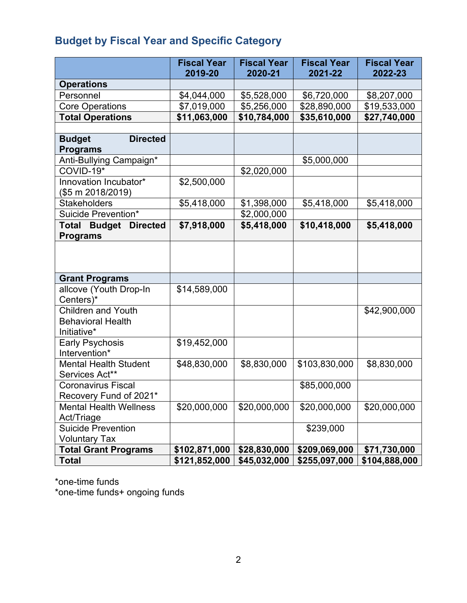# **Budget by Fiscal Year and Specific Category**

|                                                                      | <b>Fiscal Year</b><br>2019-20 | <b>Fiscal Year</b><br>2020-21 | <b>Fiscal Year</b><br>2021-22 | <b>Fiscal Year</b><br>2022-23 |
|----------------------------------------------------------------------|-------------------------------|-------------------------------|-------------------------------|-------------------------------|
| <b>Operations</b>                                                    |                               |                               |                               |                               |
| Personnel                                                            | \$4,044,000                   | \$5,528,000                   | \$6,720,000                   | \$8,207,000                   |
| <b>Core Operations</b>                                               | \$7,019,000                   | \$5,256,000                   | \$28,890,000                  | \$19,533,000                  |
| <b>Total Operations</b>                                              | \$11,063,000                  | \$10,784,000                  | \$35,610,000                  | \$27,740,000                  |
|                                                                      |                               |                               |                               |                               |
| <b>Directed</b><br><b>Budget</b><br><b>Programs</b>                  |                               |                               |                               |                               |
| Anti-Bullying Campaign*                                              |                               |                               | \$5,000,000                   |                               |
| COVID-19*                                                            |                               | \$2,020,000                   |                               |                               |
| Innovation Incubator*<br>(\$5 m 2018/2019)                           | \$2,500,000                   |                               |                               |                               |
| <b>Stakeholders</b>                                                  | \$5,418,000                   | \$1,398,000                   | \$5,418,000                   | \$5,418,000                   |
| Suicide Prevention*                                                  |                               | \$2,000,000                   |                               |                               |
| <b>Total Budget</b><br><b>Directed</b><br><b>Programs</b>            | \$7,918,000                   | \$5,418,000                   | \$10,418,000                  | \$5,418,000                   |
|                                                                      |                               |                               |                               |                               |
| <b>Grant Programs</b>                                                |                               |                               |                               |                               |
| allcove (Youth Drop-In<br>Centers)*                                  | \$14,589,000                  |                               |                               |                               |
| <b>Children and Youth</b><br><b>Behavioral Health</b><br>Initiative* |                               |                               |                               | \$42,900,000                  |
| <b>Early Psychosis</b><br>Intervention*                              | \$19,452,000                  |                               |                               |                               |
| <b>Mental Health Student</b><br>Services Act**                       | \$48,830,000                  | \$8,830,000                   | \$103,830,000                 | \$8,830,000                   |
| <b>Coronavirus Fiscal</b><br>Recovery Fund of 2021*                  |                               |                               | \$85,000,000                  |                               |
| <b>Mental Health Wellness</b><br>Act/Triage                          | \$20,000,000                  | \$20,000,000                  | \$20,000,000                  | \$20,000,000                  |
| <b>Suicide Prevention</b><br><b>Voluntary Tax</b>                    |                               |                               | \$239,000                     |                               |
| <b>Total Grant Programs</b>                                          | \$102,871,000                 | \$28,830,000                  | \$209,069,000                 | \$71,730,000                  |
| <b>Total</b>                                                         | \$121,852,000                 | \$45,032,000                  | \$255,097,000                 | \$104,888,000                 |

\*one-time funds

\*one-time funds+ ongoing funds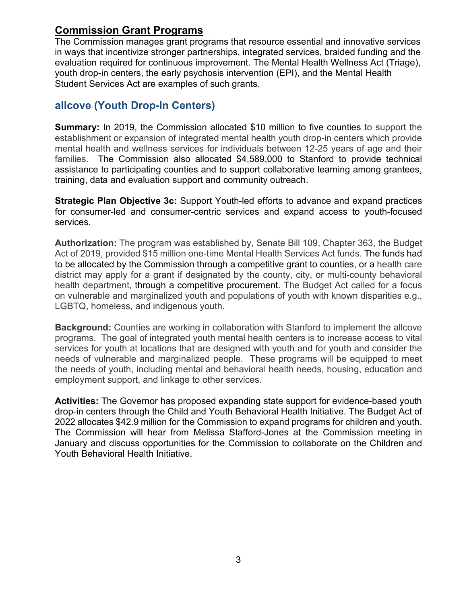# **Commission Grant Programs**

The Commission manages grant programs that resource essential and innovative services in ways that incentivize stronger partnerships, integrated services, braided funding and the evaluation required for continuous improvement. The Mental Health Wellness Act (Triage), youth drop-in centers, the early psychosis intervention (EPI), and the Mental Health Student Services Act are examples of such grants.

# **allcove (Youth Drop-In Centers)**

**Summary:** In 2019, the Commission allocated \$10 million to five counties to support the establishment or expansion of integrated mental health youth drop-in centers which provide mental health and wellness services for individuals between 12-25 years of age and their families. The Commission also allocated \$4,589,000 to Stanford to provide technical assistance to participating counties and to support collaborative learning among grantees, training, data and evaluation support and community outreach.

**Strategic Plan Objective 3c:** Support Youth-led efforts to advance and expand practices for consumer-led and consumer-centric services and expand access to youth-focused services.

**Authorization:** The program was established by, Senate Bill 109, Chapter 363, the Budget Act of 2019, provided \$15 million one-time Mental Health Services Act funds. The funds had to be allocated by the Commission through a competitive grant to counties, or a health care district may apply for a grant if designated by the county, city, or multi-county behavioral health department, through a competitive procurement. The Budget Act called for a focus on vulnerable and marginalized youth and populations of youth with known disparities e.g., LGBTQ, homeless, and indigenous youth.

**Background:** Counties are working in collaboration with Stanford to implement the allcove programs. The goal of integrated youth mental health centers is to increase access to vital services for youth at locations that are designed with youth and for youth and consider the needs of vulnerable and marginalized people. These programs will be equipped to meet the needs of youth, including mental and behavioral health needs, housing, education and employment support, and linkage to other services.

**Activities:** The Governor has proposed expanding state support for evidence-based youth drop-in centers through the Child and Youth Behavioral Health Initiative. The Budget Act of 2022 allocates \$42.9 million for the Commission to expand programs for children and youth. The Commission will hear from Melissa Stafford-Jones at the Commission meeting in January and discuss opportunities for the Commission to collaborate on the Children and Youth Behavioral Health Initiative.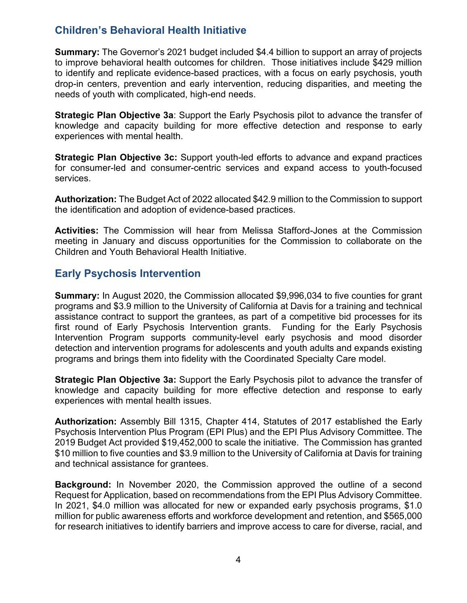# **Children's Behavioral Health Initiative**

**Summary:** The Governor's 2021 budget included \$4.4 billion to support an array of projects to improve behavioral health outcomes for children. Those initiatives include \$429 million to identify and replicate evidence-based practices, with a focus on early psychosis, youth drop-in centers, prevention and early intervention, reducing disparities, and meeting the needs of youth with complicated, high-end needs.

**Strategic Plan Objective 3a**: Support the Early Psychosis pilot to advance the transfer of knowledge and capacity building for more effective detection and response to early experiences with mental health.

**Strategic Plan Objective 3c:** Support youth-led efforts to advance and expand practices for consumer-led and consumer-centric services and expand access to youth-focused services.

**Authorization:** The Budget Act of 2022 allocated \$42.9 million to the Commission to support the identification and adoption of evidence-based practices.

**Activities:** The Commission will hear from Melissa Stafford-Jones at the Commission meeting in January and discuss opportunities for the Commission to collaborate on the Children and Youth Behavioral Health Initiative.

# **Early Psychosis Intervention**

**Summary:** In August 2020, the Commission allocated \$9,996,034 to five counties for grant programs and \$3.9 million to the University of California at Davis for a training and technical assistance contract to support the grantees, as part of a competitive bid processes for its first round of Early Psychosis Intervention grants. Funding for the Early Psychosis Intervention Program supports community-level early psychosis and mood disorder detection and intervention programs for adolescents and youth adults and expands existing programs and brings them into fidelity with the Coordinated Specialty Care model.

**Strategic Plan Objective 3a:** Support the Early Psychosis pilot to advance the transfer of knowledge and capacity building for more effective detection and response to early experiences with mental health issues.

**Authorization:** Assembly Bill 1315, Chapter 414, Statutes of 2017 established the Early Psychosis Intervention Plus Program (EPI Plus) and the EPI Plus Advisory Committee. The 2019 Budget Act provided \$19,452,000 to scale the initiative. The Commission has granted \$10 million to five counties and \$3.9 million to the University of California at Davis for training and technical assistance for grantees.

**Background:** In November 2020, the Commission approved the outline of a second Request for Application, based on recommendations from the EPI Plus Advisory Committee. In 2021, \$4.0 million was allocated for new or expanded early psychosis programs, \$1.0 million for public awareness efforts and workforce development and retention, and \$565,000 for research initiatives to identify barriers and improve access to care for diverse, racial, and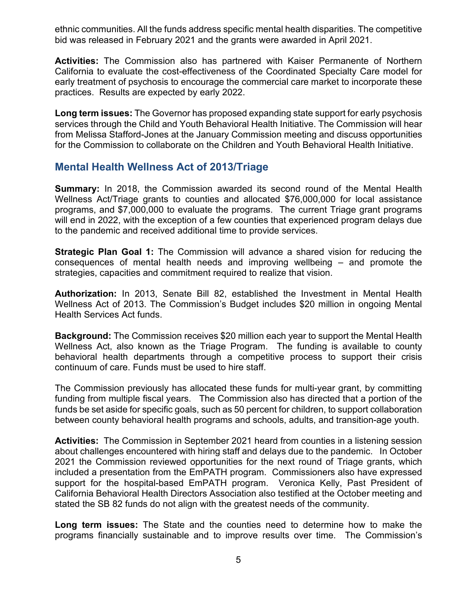ethnic communities. All the funds address specific mental health disparities. The competitive bid was released in February 2021 and the grants were awarded in April 2021.

**Activities:** The Commission also has partnered with Kaiser Permanente of Northern California to evaluate the cost-effectiveness of the Coordinated Specialty Care model for early treatment of psychosis to encourage the commercial care market to incorporate these practices. Results are expected by early 2022.

**Long term issues:** The Governor has proposed expanding state support for early psychosis services through the Child and Youth Behavioral Health Initiative. The Commission will hear from Melissa Stafford-Jones at the January Commission meeting and discuss opportunities for the Commission to collaborate on the Children and Youth Behavioral Health Initiative.

#### **Mental Health Wellness Act of 2013/Triage**

**Summary:** In 2018, the Commission awarded its second round of the Mental Health Wellness Act/Triage grants to counties and allocated \$76,000,000 for local assistance programs, and \$7,000,000 to evaluate the programs. The current Triage grant programs will end in 2022, with the exception of a few counties that experienced program delays due to the pandemic and received additional time to provide services.

**Strategic Plan Goal 1:** The Commission will advance a shared vision for reducing the consequences of mental health needs and improving wellbeing – and promote the strategies, capacities and commitment required to realize that vision.

**Authorization:** In 2013, Senate Bill 82, established the Investment in Mental Health Wellness Act of 2013. The Commission's Budget includes \$20 million in ongoing Mental Health Services Act funds.

**Background:** The Commission receives \$20 million each year to support the Mental Health Wellness Act, also known as the Triage Program. The funding is available to county behavioral health departments through a competitive process to support their crisis continuum of care. Funds must be used to hire staff.

The Commission previously has allocated these funds for multi-year grant, by committing funding from multiple fiscal years. The Commission also has directed that a portion of the funds be set aside for specific goals, such as 50 percent for children, to support collaboration between county behavioral health programs and schools, adults, and transition-age youth.

**Activities:** The Commission in September 2021 heard from counties in a listening session about challenges encountered with hiring staff and delays due to the pandemic. In October 2021 the Commission reviewed opportunities for the next round of Triage grants, which included a presentation from the EmPATH program. Commissioners also have expressed support for the hospital-based EmPATH program. Veronica Kelly, Past President of California Behavioral Health Directors Association also testified at the October meeting and stated the SB 82 funds do not align with the greatest needs of the community.

**Long term issues:** The State and the counties need to determine how to make the programs financially sustainable and to improve results over time. The Commission's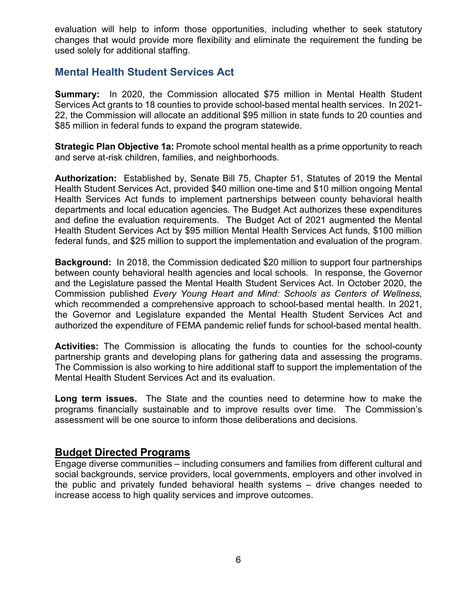evaluation will help to inform those opportunities, including whether to seek statutory changes that would provide more flexibility and eliminate the requirement the funding be used solely for additional staffing.

#### **Mental Health Student Services Act**

**Summary:** In 2020, the Commission allocated \$75 million in Mental Health Student Services Act grants to 18 counties to provide school-based mental health services. In 2021- 22, the Commission will allocate an additional \$95 million in state funds to 20 counties and \$85 million in federal funds to expand the program statewide.

**Strategic Plan Objective 1a: Promote school mental health as a prime opportunity to reach** and serve at-risk children, families, and neighborhoods.

**Authorization:** Established by, Senate Bill 75, Chapter 51, Statutes of 2019 the Mental Health Student Services Act, provided \$40 million one-time and \$10 million ongoing Mental Health Services Act funds to implement partnerships between county behavioral health departments and local education agencies. The Budget Act authorizes these expenditures and define the evaluation requirements. The Budget Act of 2021 augmented the Mental Health Student Services Act by \$95 million Mental Health Services Act funds, \$100 million federal funds, and \$25 million to support the implementation and evaluation of the program.

**Background:** In 2018, the Commission dedicated \$20 million to support four partnerships between county behavioral health agencies and local schools. In response, the Governor and the Legislature passed the Mental Health Student Services Act. In October 2020, the Commission published *Every Young Heart and Mind: Schools as Centers of Wellness,*  which recommended a comprehensive approach to school-based mental health. In 2021, the Governor and Legislature expanded the Mental Health Student Services Act and authorized the expenditure of FEMA pandemic relief funds for school-based mental health.

**Activities:** The Commission is allocating the funds to counties for the school-county partnership grants and developing plans for gathering data and assessing the programs. The Commission is also working to hire additional staff to support the implementation of the Mental Health Student Services Act and its evaluation.

**Long term issues.** The State and the counties need to determine how to make the programs financially sustainable and to improve results over time. The Commission's assessment will be one source to inform those deliberations and decisions.

#### **Budget Directed Programs**

Engage diverse communities – including consumers and families from different cultural and social backgrounds, service providers, local governments, employers and other involved in the public and privately funded behavioral health systems – drive changes needed to increase access to high quality services and improve outcomes.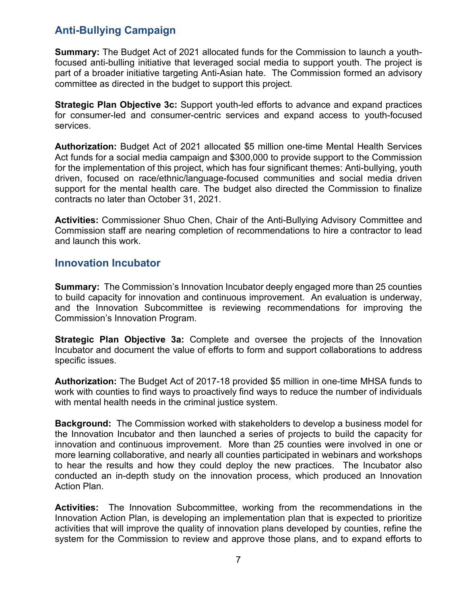# **Anti-Bullying Campaign**

**Summary:** The Budget Act of 2021 allocated funds for the Commission to launch a youthfocused anti-bulling initiative that leveraged social media to support youth. The project is part of a broader initiative targeting Anti-Asian hate. The Commission formed an advisory committee as directed in the budget to support this project.

**Strategic Plan Objective 3c:** Support youth-led efforts to advance and expand practices for consumer-led and consumer-centric services and expand access to youth-focused services.

**Authorization:** Budget Act of 2021 allocated \$5 million one-time Mental Health Services Act funds for a social media campaign and \$300,000 to provide support to the Commission for the implementation of this project, which has four significant themes: Anti-bullying, youth driven, focused on race/ethnic/language-focused communities and social media driven support for the mental health care. The budget also directed the Commission to finalize contracts no later than October 31, 2021.

**Activities:** Commissioner Shuo Chen, Chair of the Anti-Bullying Advisory Committee and Commission staff are nearing completion of recommendations to hire a contractor to lead and launch this work.

#### **Innovation Incubator**

**Summary:** The Commission's Innovation Incubator deeply engaged more than 25 counties to build capacity for innovation and continuous improvement. An evaluation is underway, and the Innovation Subcommittee is reviewing recommendations for improving the Commission's Innovation Program.

**Strategic Plan Objective 3a:** Complete and oversee the projects of the Innovation Incubator and document the value of efforts to form and support collaborations to address specific issues.

**Authorization:** The Budget Act of 2017-18 provided \$5 million in one-time MHSA funds to work with counties to find ways to proactively find ways to reduce the number of individuals with mental health needs in the criminal justice system.

**Background:** The Commission worked with stakeholders to develop a business model for the Innovation Incubator and then launched a series of projects to build the capacity for innovation and continuous improvement. More than 25 counties were involved in one or more learning collaborative, and nearly all counties participated in webinars and workshops to hear the results and how they could deploy the new practices. The Incubator also conducted an in-depth study on the innovation process, which produced an Innovation Action Plan.

**Activities:** The Innovation Subcommittee, working from the recommendations in the Innovation Action Plan, is developing an implementation plan that is expected to prioritize activities that will improve the quality of innovation plans developed by counties, refine the system for the Commission to review and approve those plans, and to expand efforts to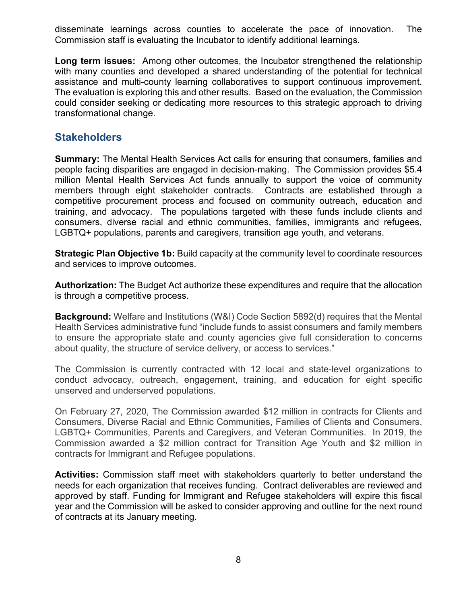disseminate learnings across counties to accelerate the pace of innovation. The Commission staff is evaluating the Incubator to identify additional learnings.

**Long term issues:** Among other outcomes, the Incubator strengthened the relationship with many counties and developed a shared understanding of the potential for technical assistance and multi-county learning collaboratives to support continuous improvement. The evaluation is exploring this and other results. Based on the evaluation, the Commission could consider seeking or dedicating more resources to this strategic approach to driving transformational change.

#### **Stakeholders**

**Summary:** The Mental Health Services Act calls for ensuring that consumers, families and people facing disparities are engaged in decision-making. The Commission provides \$5.4 million Mental Health Services Act funds annually to support the voice of community members through eight stakeholder contracts. Contracts are established through a competitive procurement process and focused on community outreach, education and training, and advocacy. The populations targeted with these funds include clients and consumers, diverse racial and ethnic communities, families, immigrants and refugees, LGBTQ+ populations, parents and caregivers, transition age youth, and veterans.

**Strategic Plan Objective 1b:** Build capacity at the community level to coordinate resources and services to improve outcomes.

**Authorization:** The Budget Act authorize these expenditures and require that the allocation is through a competitive process.

**Background:** Welfare and Institutions (W&I) Code Section 5892(d) requires that the Mental Health Services administrative fund "include funds to assist consumers and family members to ensure the appropriate state and county agencies give full consideration to concerns about quality, the structure of service delivery, or access to services."

The Commission is currently contracted with 12 local and state-level organizations to conduct advocacy, outreach, engagement, training, and education for eight specific unserved and underserved populations.

On February 27, 2020, The Commission awarded \$12 million in contracts for Clients and Consumers, Diverse Racial and Ethnic Communities, Families of Clients and Consumers, LGBTQ+ Communities, Parents and Caregivers, and Veteran Communities. In 2019, the Commission awarded a \$2 million contract for Transition Age Youth and \$2 million in contracts for Immigrant and Refugee populations.

**Activities:** Commission staff meet with stakeholders quarterly to better understand the needs for each organization that receives funding. Contract deliverables are reviewed and approved by staff. Funding for Immigrant and Refugee stakeholders will expire this fiscal year and the Commission will be asked to consider approving and outline for the next round of contracts at its January meeting.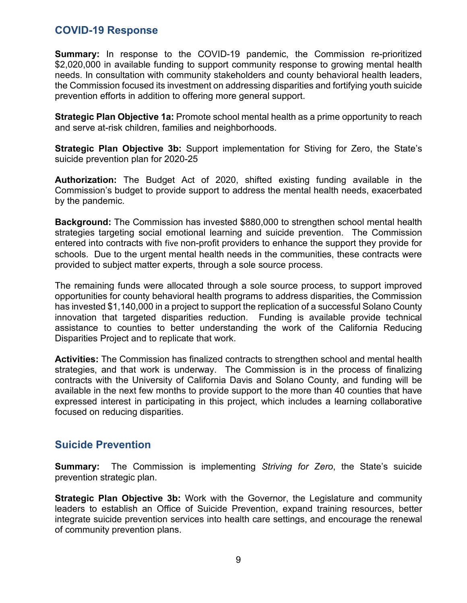#### **COVID-19 Response**

**Summary:** In response to the COVID-19 pandemic, the Commission re-prioritized \$2,020,000 in available funding to support community response to growing mental health needs. In consultation with community stakeholders and county behavioral health leaders, the Commission focused its investment on addressing disparities and fortifying youth suicide prevention efforts in addition to offering more general support.

**Strategic Plan Objective 1a:** Promote school mental health as a prime opportunity to reach and serve at-risk children, families and neighborhoods.

**Strategic Plan Objective 3b:** Support implementation for Stiving for Zero, the State's suicide prevention plan for 2020-25

**Authorization:** The Budget Act of 2020, shifted existing funding available in the Commission's budget to provide support to address the mental health needs, exacerbated by the pandemic.

**Background:** The Commission has invested \$880,000 to strengthen school mental health strategies targeting social emotional learning and suicide prevention. The Commission entered into contracts with five non-profit providers to enhance the support they provide for schools. Due to the urgent mental health needs in the communities, these contracts were provided to subject matter experts, through a sole source process.

The remaining funds were allocated through a sole source process, to support improved opportunities for county behavioral health programs to address disparities, the Commission has invested \$1,140,000 in a project to support the replication of a successful Solano County innovation that targeted disparities reduction. Funding is available provide technical assistance to counties to better understanding the work of the California Reducing Disparities Project and to replicate that work.

**Activities:** The Commission has finalized contracts to strengthen school and mental health strategies, and that work is underway. The Commission is in the process of finalizing contracts with the University of California Davis and Solano County, and funding will be available in the next few months to provide support to the more than 40 counties that have expressed interest in participating in this project, which includes a learning collaborative focused on reducing disparities.

### **Suicide Prevention**

**Summary:** The Commission is implementing *Striving for Zero*, the State's suicide prevention strategic plan.

**Strategic Plan Objective 3b:** Work with the Governor, the Legislature and community leaders to establish an Office of Suicide Prevention, expand training resources, better integrate suicide prevention services into health care settings, and encourage the renewal of community prevention plans.